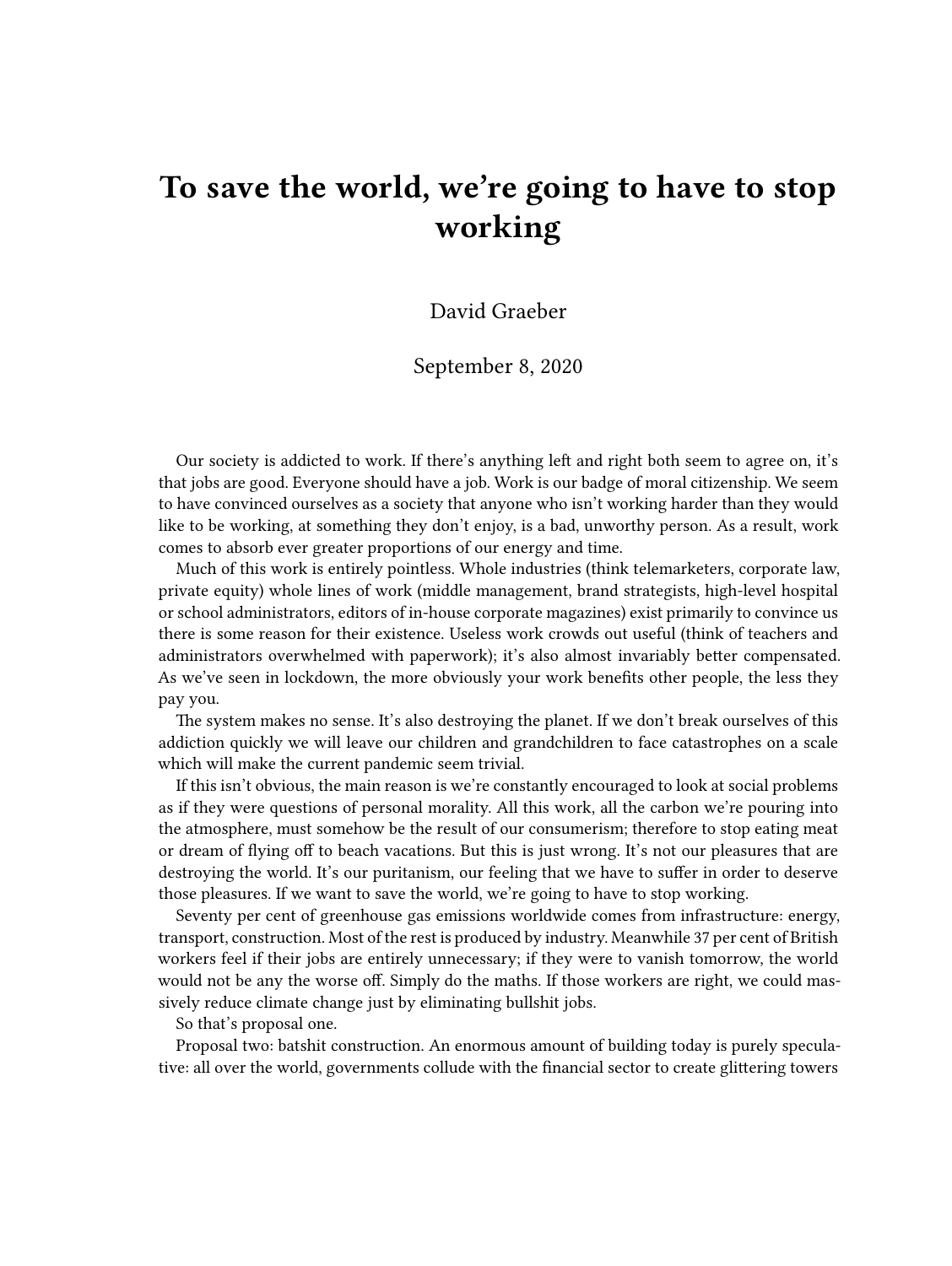## **To save the world, we're going to have to stop working**

David Graeber

September 8, 2020

Our society is addicted to work. If there's anything left and right both seem to agree on, it's that jobs are good. Everyone should have a job. Work is our badge of moral citizenship. We seem to have convinced ourselves as a society that anyone who isn't working harder than they would like to be working, at something they don't enjoy, is a bad, unworthy person. As a result, work comes to absorb ever greater proportions of our energy and time.

Much of this work is entirely pointless. Whole industries (think telemarketers, corporate law, private equity) whole lines of work (middle management, brand strategists, high-level hospital or school administrators, editors of in-house corporate magazines) exist primarily to convince us there is some reason for their existence. Useless work crowds out useful (think of teachers and administrators overwhelmed with paperwork); it's also almost invariably better compensated. As we've seen in lockdown, the more obviously your work benefits other people, the less they pay you.

The system makes no sense. It's also destroying the planet. If we don't break ourselves of this addiction quickly we will leave our children and grandchildren to face catastrophes on a scale which will make the current pandemic seem trivial.

If this isn't obvious, the main reason is we're constantly encouraged to look at social problems as if they were questions of personal morality. All this work, all the carbon we're pouring into the atmosphere, must somehow be the result of our consumerism; therefore to stop eating meat or dream of flying off to beach vacations. But this is just wrong. It's not our pleasures that are destroying the world. It's our puritanism, our feeling that we have to suffer in order to deserve those pleasures. If we want to save the world, we're going to have to stop working.

Seventy per cent of greenhouse gas emissions worldwide comes from infrastructure: energy, transport, construction. Most of the rest is produced by industry. Meanwhile 37 per cent of British workers feel if their jobs are entirely unnecessary; if they were to vanish tomorrow, the world would not be any the worse off. Simply do the maths. If those workers are right, we could massively reduce climate change just by eliminating bullshit jobs.

So that's proposal one.

Proposal two: batshit construction. An enormous amount of building today is purely speculative: all over the world, governments collude with the financial sector to create glittering towers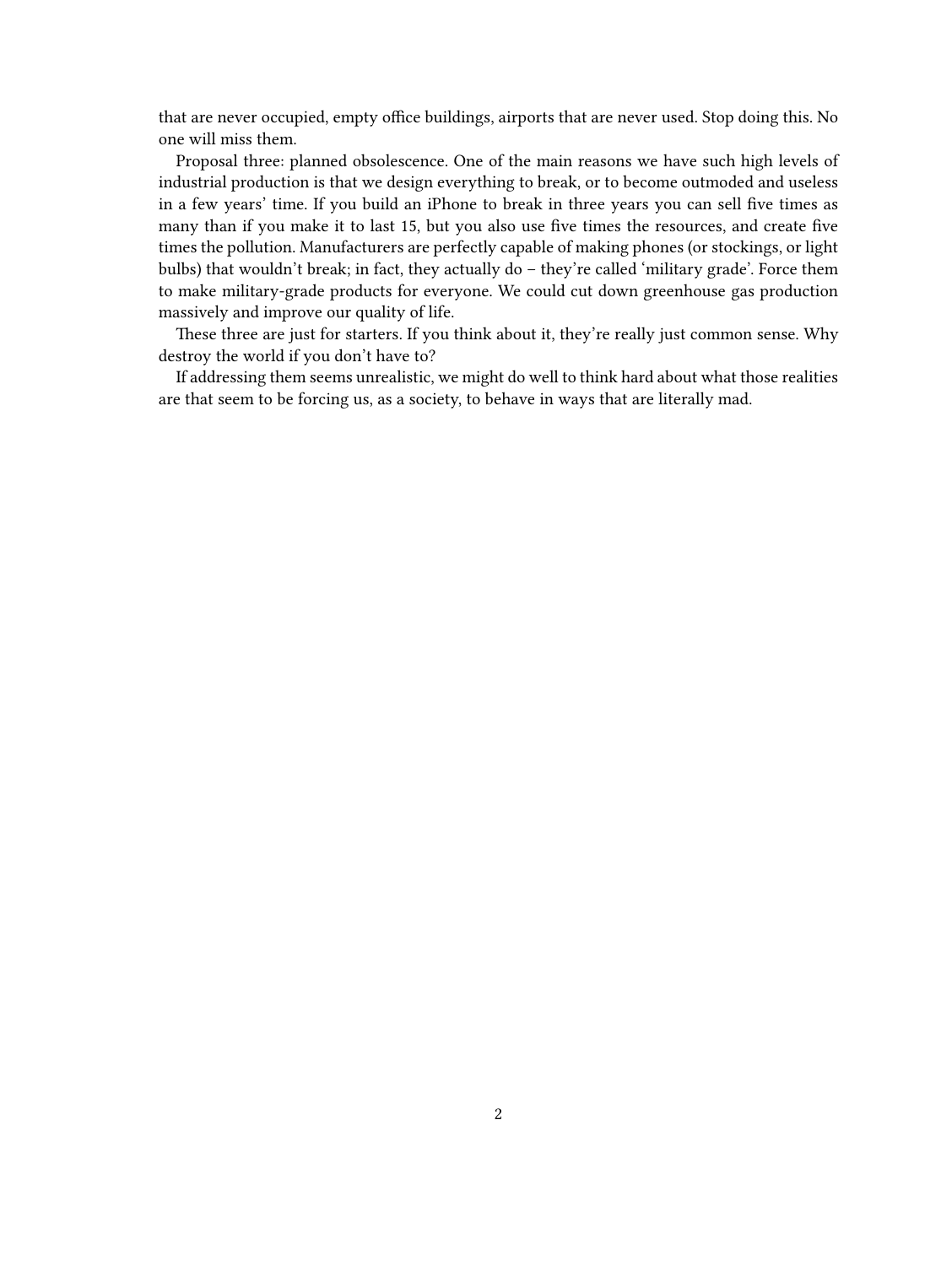that are never occupied, empty office buildings, airports that are never used. Stop doing this. No one will miss them.

Proposal three: planned obsolescence. One of the main reasons we have such high levels of industrial production is that we design everything to break, or to become outmoded and useless in a few years' time. If you build an iPhone to break in three years you can sell five times as many than if you make it to last 15, but you also use five times the resources, and create five times the pollution. Manufacturers are perfectly capable of making phones (or stockings, or light bulbs) that wouldn't break; in fact, they actually do – they're called 'military grade'. Force them to make military-grade products for everyone. We could cut down greenhouse gas production massively and improve our quality of life.

These three are just for starters. If you think about it, they're really just common sense. Why destroy the world if you don't have to?

If addressing them seems unrealistic, we might do well to think hard about what those realities are that seem to be forcing us, as a society, to behave in ways that are literally mad.